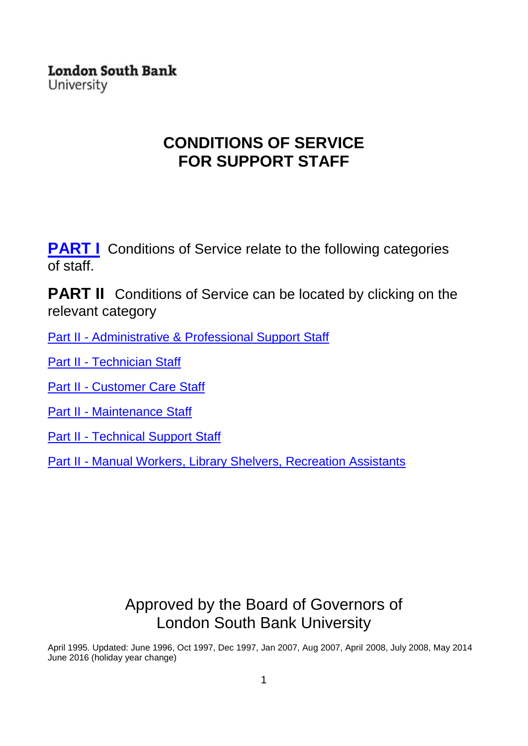**London South Bank** University

### **CONDITIONS OF SERVICE FOR SUPPORT STAFF**

**[PART I](#page-1-0)** Conditions of Service relate to the following categories of staff.

**PART II** Conditions of Service can be located by clicking on the relevant category

Part II - [Administrative & Professional Support Staff](#page-17-0)

Part II - [Technician Staff](#page-21-0) 

Part II - [Customer Care Staff](#page-24-0)

Part II - [Maintenance Staff](#page-27-0)

Part II - [Technical Support Staff](#page-30-0)

Part II - [Manual Workers, Library Shelvers, Recreation Assistants](#page-33-0)

## Approved by the Board of Governors of London South Bank University

<span id="page-0-0"></span>April 1995. Updated: June 1996, Oct 1997, Dec 1997, Jan 2007, Aug 2007, April 2008, July 2008, May 2014 June 2016 (holiday year change)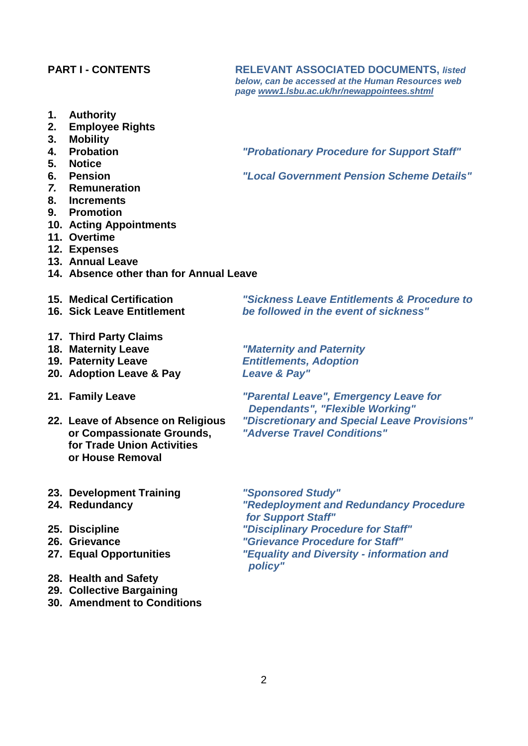#### <span id="page-1-0"></span>**PART I - CONTENTS RELEVANT ASSOCIATED DOCUMENTS,** *listed*

- **1. Authority**
- **2. Employee Rights**
- **3. Mobility**
- 
- **5. Notice**
- 
- *7.* **Remuneration**
- **8. Increments**
- **9. Promotion**
- **10. Acting Appointments**
- **11. Overtime**
- **12. Expenses**
- **13. Annual Leave**
- **14. Absence other than for Annual Leave**
- 
- 
- **17. Third Party Claims**
- 
- 
- **20. Adoption Leave & Pay** *Leave & Pay"*
- 
- *<u>or Compassionate Grounds,</u>*  **for Trade Union Activities or House Removal**
- **23. Development Training** *"Sponsored Study"*
- 
- 
- 
- 
- **28. Health and Safety**
- **29. Collective Bargaining**
- **30. Amendment to Conditions**

*below, can be accessed at the Human Resources web page [www1.lsbu.ac.uk/hr/newappointees.shtml](http://www1.lsbu.ac.uk/hr/newappointees.shtml)*

**4. Probation** *"Probationary Procedure for Support Staff"*

**6. Pension** *"Local Government Pension Scheme Details"* 

**15. Medical Certification** *"Sickness Leave Entitlements & Procedure to be followed in the event of sickness"* 

**18. Maternity Leave** *"Maternity and Paternity* **19. Paternity Leave** *Entitlements, Adoption*

**21. Family Leave** *"Parental Leave", Emergency Leave for Dependants", "Flexible Working"* **22. Leave of Absence on Religious** *"Discretionary and Special Leave Provisions"*

**24. Redundancy** *"Redeployment and Redundancy Procedure for Support Staff"* **25. Discipline** *"Disciplinary Procedure for Staff"* **26. Grievance** *"Grievance Procedure for Staff"*

*22. <b>Equality and Diversity - information and policy"*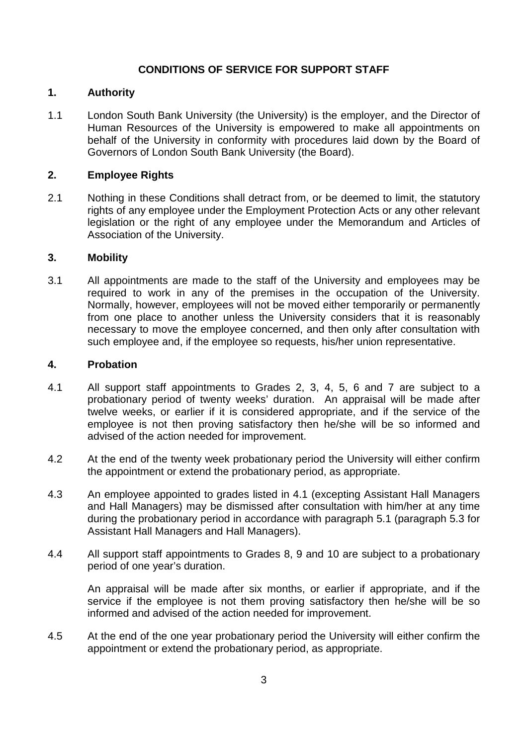### **CONDITIONS OF SERVICE FOR SUPPORT STAFF**

### **1. Authority**

1.1 London South Bank University (the University) is the employer, and the Director of Human Resources of the University is empowered to make all appointments on behalf of the University in conformity with procedures laid down by the Board of Governors of London South Bank University (the Board).

### **2. Employee Rights**

2.1 Nothing in these Conditions shall detract from, or be deemed to limit, the statutory rights of any employee under the Employment Protection Acts or any other relevant legislation or the right of any employee under the Memorandum and Articles of Association of the University.

#### **3. Mobility**

3.1 All appointments are made to the staff of the University and employees may be required to work in any of the premises in the occupation of the University. Normally, however, employees will not be moved either temporarily or permanently from one place to another unless the University considers that it is reasonably necessary to move the employee concerned, and then only after consultation with such employee and, if the employee so requests, his/her union representative.

### <span id="page-2-0"></span>**4. Probation**

- 4.1 All support staff appointments to Grades 2, 3, 4, 5, 6 and 7 are subject to a probationary period of twenty weeks' duration. An appraisal will be made after twelve weeks, or earlier if it is considered appropriate, and if the service of the employee is not then proving satisfactory then he/she will be so informed and advised of the action needed for improvement.
- 4.2 At the end of the twenty week probationary period the University will either confirm the appointment or extend the probationary period, as appropriate.
- 4.3 An employee appointed to grades listed in 4.1 (excepting Assistant Hall Managers and Hall Managers) may be dismissed after consultation with him/her at any time during the probationary period in accordance with paragraph 5.1 (paragraph 5.3 for Assistant Hall Managers and Hall Managers).
- 4.4 All support staff appointments to Grades 8, 9 and 10 are subject to a probationary period of one year's duration.

An appraisal will be made after six months, or earlier if appropriate, and if the service if the employee is not them proving satisfactory then he/she will be so informed and advised of the action needed for improvement.

4.5 At the end of the one year probationary period the University will either confirm the appointment or extend the probationary period, as appropriate.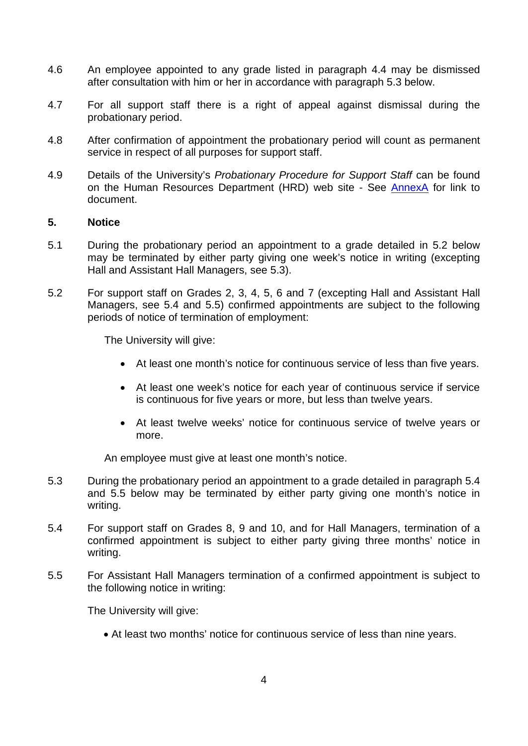- 4.6 An employee appointed to any grade listed in paragraph 4.4 may be dismissed after consultation with him or her in accordance with paragraph 5.3 below.
- 4.7 For all support staff there is a right of appeal against dismissal during the probationary period.
- 4.8 After confirmation of appointment the probationary period will count as permanent service in respect of all purposes for support staff.
- 4.9 Details of the University's *Probationary Procedure for Support Staff* can be found on the Human Resources Department (HRD) web site - See [AnnexA](#page-36-0) for link to document.

### **5. Notice**

- 5.1 During the probationary period an appointment to a grade detailed in 5.2 below may be terminated by either party giving one week's notice in writing (excepting Hall and Assistant Hall Managers, see 5.3).
- 5.2 For support staff on Grades 2, 3, 4, 5, 6 and 7 (excepting Hall and Assistant Hall Managers, see 5.4 and 5.5) confirmed appointments are subject to the following periods of notice of termination of employment:

The University will give:

- At least one month's notice for continuous service of less than five years.
- At least one week's notice for each year of continuous service if service is continuous for five years or more, but less than twelve years.
- At least twelve weeks' notice for continuous service of twelve years or more.

An employee must give at least one month's notice.

- 5.3 During the probationary period an appointment to a grade detailed in paragraph 5.4 and 5.5 below may be terminated by either party giving one month's notice in writing.
- 5.4 For support staff on Grades 8, 9 and 10, and for Hall Managers, termination of a confirmed appointment is subject to either party giving three months' notice in writing.
- 5.5 For Assistant Hall Managers termination of a confirmed appointment is subject to the following notice in writing:

The University will give:

• At least two months' notice for continuous service of less than nine years.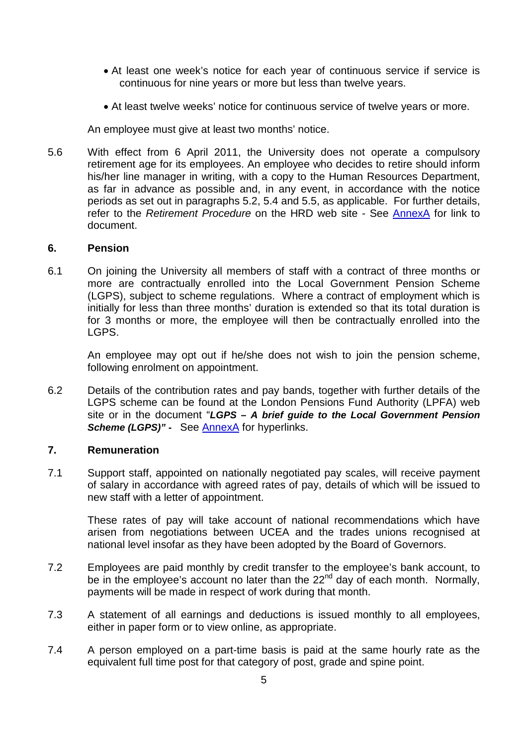- At least one week's notice for each year of continuous service if service is continuous for nine years or more but less than twelve years.
- At least twelve weeks' notice for continuous service of twelve years or more.

<span id="page-4-0"></span>An employee must give at least two months' notice.

5.6 With effect from 6 April 2011, the University does not operate a compulsory retirement age for its employees. An employee who decides to retire should inform his/her line manager in writing, with a copy to the Human Resources Department, as far in advance as possible and, in any event, in accordance with the notice periods as set out in paragraphs 5.2, 5.4 and 5.5, as applicable. For further details, refer to the *Retirement Procedure* on the HRD web site - See [AnnexA](#page-36-0) for link to document.

### <span id="page-4-1"></span>**6. Pension**

6.1 On joining the University all members of staff with a contract of three months or more are contractually enrolled into the Local Government Pension Scheme (LGPS), subject to scheme regulations. Where a contract of employment which is initially for less than three months' duration is extended so that its total duration is for 3 months or more, the employee will then be contractually enrolled into the LGPS.

An employee may opt out if he/she does not wish to join the pension scheme, following enrolment on appointment.

6.2 Details of the contribution rates and pay bands, together with further details of the LGPS scheme can be found at the London Pensions Fund Authority (LPFA) web site or in the document "*LGPS – A brief guide to the Local Government Pension*  **Scheme (LGPS)" -** See [AnnexA](#page-36-0) for hyperlinks.

### **7. Remuneration**

7.1 Support staff, appointed on nationally negotiated pay scales, will receive payment of salary in accordance with agreed rates of pay, details of which will be issued to new staff with a letter of appointment.

These rates of pay will take account of national recommendations which have arisen from negotiations between UCEA and the trades unions recognised at national level insofar as they have been adopted by the Board of Governors.

- 7.2 Employees are paid monthly by credit transfer to the employee's bank account, to be in the employee's account no later than the  $22<sup>nd</sup>$  day of each month. Normally, payments will be made in respect of work during that month.
- 7.3 A statement of all earnings and deductions is issued monthly to all employees, either in paper form or to view online, as appropriate.
- 7.4 A person employed on a part-time basis is paid at the same hourly rate as the equivalent full time post for that category of post, grade and spine point.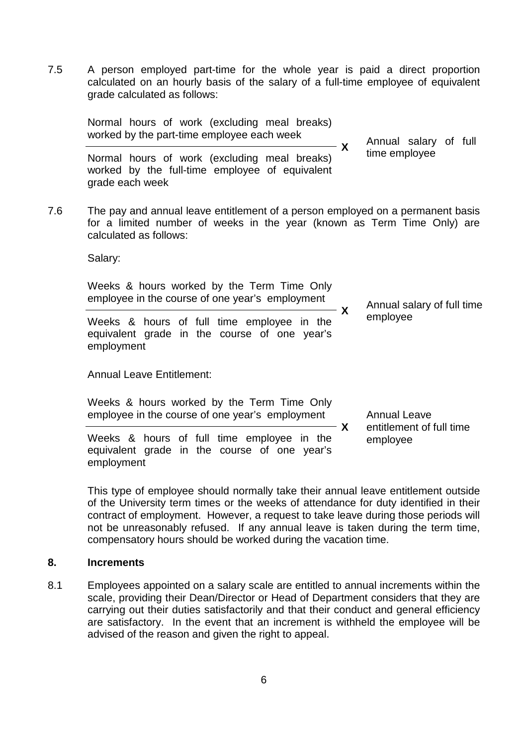7.5 A person employed part-time for the whole year is paid a direct proportion calculated on an hourly basis of the salary of a full-time employee of equivalent grade calculated as follows:

|     | Normal hours of work (excluding meal breaks)<br>worked by the part-time employee each week                                                                                          | X | Annual salary of full                                       |
|-----|-------------------------------------------------------------------------------------------------------------------------------------------------------------------------------------|---|-------------------------------------------------------------|
|     | Normal hours of work (excluding meal breaks)<br>worked by the full-time employee of equivalent<br>grade each week                                                                   |   | time employee                                               |
| 7.6 | The pay and annual leave entitlement of a person employed on a permanent basis<br>for a limited number of weeks in the year (known as Term Time Only) are<br>calculated as follows: |   |                                                             |
|     | Salary:                                                                                                                                                                             |   |                                                             |
|     | Weeks & hours worked by the Term Time Only<br>employee in the course of one year's employment                                                                                       | X | Annual salary of full time<br>employee                      |
|     | Weeks & hours of full time employee in the<br>equivalent grade in the course of one year's<br>employment                                                                            |   |                                                             |
|     | <b>Annual Leave Entitlement:</b>                                                                                                                                                    |   |                                                             |
|     | Weeks & hours worked by the Term Time Only<br>employee in the course of one year's employment                                                                                       | X | <b>Annual Leave</b><br>entitlement of full time<br>employee |
|     | Weeks & hours of full time employee in the<br>equivalent grade in the course of one year's<br>employment                                                                            |   |                                                             |

This type of employee should normally take their annual leave entitlement outside of the University term times or the weeks of attendance for duty identified in their contract of employment. However, a request to take leave during those periods will not be unreasonably refused. If any annual leave is taken during the term time, compensatory hours should be worked during the vacation time.

### **8. Increments**

8.1 Employees appointed on a salary scale are entitled to annual increments within the scale, providing their Dean/Director or Head of Department considers that they are carrying out their duties satisfactorily and that their conduct and general efficiency are satisfactory. In the event that an increment is withheld the employee will be advised of the reason and given the right to appeal.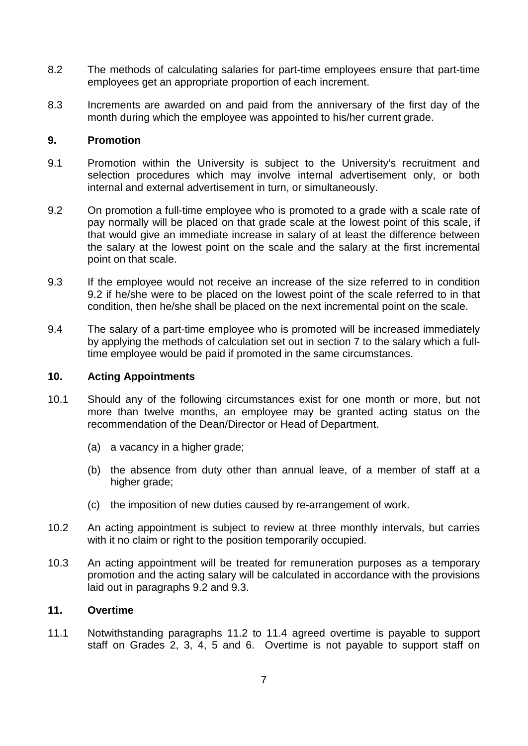- 8.2 The methods of calculating salaries for part-time employees ensure that part-time employees get an appropriate proportion of each increment.
- 8.3 Increments are awarded on and paid from the anniversary of the first day of the month during which the employee was appointed to his/her current grade.

### **9. Promotion**

- 9.1 Promotion within the University is subject to the University's recruitment and selection procedures which may involve internal advertisement only, or both internal and external advertisement in turn, or simultaneously.
- 9.2 On promotion a full-time employee who is promoted to a grade with a scale rate of pay normally will be placed on that grade scale at the lowest point of this scale, if that would give an immediate increase in salary of at least the difference between the salary at the lowest point on the scale and the salary at the first incremental point on that scale.
- 9.3 If the employee would not receive an increase of the size referred to in condition 9.2 if he/she were to be placed on the lowest point of the scale referred to in that condition, then he/she shall be placed on the next incremental point on the scale.
- 9.4 The salary of a part-time employee who is promoted will be increased immediately by applying the methods of calculation set out in section 7 to the salary which a fulltime employee would be paid if promoted in the same circumstances.

### **10. Acting Appointments**

- 10.1 Should any of the following circumstances exist for one month or more, but not more than twelve months, an employee may be granted acting status on the recommendation of the Dean/Director or Head of Department.
	- (a) a vacancy in a higher grade;
	- (b) the absence from duty other than annual leave, of a member of staff at a higher grade;
	- (c) the imposition of new duties caused by re-arrangement of work.
- 10.2 An acting appointment is subject to review at three monthly intervals, but carries with it no claim or right to the position temporarily occupied.
- 10.3 An acting appointment will be treated for remuneration purposes as a temporary promotion and the acting salary will be calculated in accordance with the provisions laid out in paragraphs 9.2 and 9.3.

### **11. Overtime**

11.1 Notwithstanding paragraphs 11.2 to 11.4 agreed overtime is payable to support staff on Grades 2, 3, 4, 5 and 6. Overtime is not payable to support staff on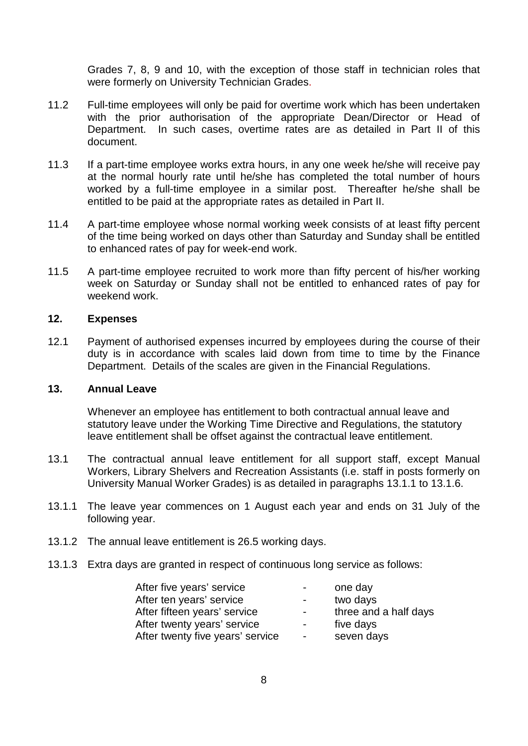Grades 7, 8, 9 and 10, with the exception of those staff in technician roles that were formerly on University Technician Grades.

- 11.2 Full-time employees will only be paid for overtime work which has been undertaken with the prior authorisation of the appropriate Dean/Director or Head of Department. In such cases, overtime rates are as detailed in Part II of this document.
- 11.3 If a part-time employee works extra hours, in any one week he/she will receive pay at the normal hourly rate until he/she has completed the total number of hours worked by a full-time employee in a similar post. Thereafter he/she shall be entitled to be paid at the appropriate rates as detailed in Part II.
- 11.4 A part-time employee whose normal working week consists of at least fifty percent of the time being worked on days other than Saturday and Sunday shall be entitled to enhanced rates of pay for week-end work.
- 11.5 A part-time employee recruited to work more than fifty percent of his/her working week on Saturday or Sunday shall not be entitled to enhanced rates of pay for weekend work.

### **12. Expenses**

12.1 Payment of authorised expenses incurred by employees during the course of their duty is in accordance with scales laid down from time to time by the Finance Department. Details of the scales are given in the Financial Regulations.

#### **13. Annual Leave**

Whenever an employee has entitlement to both contractual annual leave and statutory leave under the Working Time Directive and Regulations, the statutory leave entitlement shall be offset against the contractual leave entitlement.

- 13.1 The contractual annual leave entitlement for all support staff, except Manual Workers, Library Shelvers and Recreation Assistants (i.e. staff in posts formerly on University Manual Worker Grades) is as detailed in paragraphs 13.1.1 to 13.1.6.
- 13.1.1 The leave year commences on 1 August each year and ends on 31 July of the following year.
- 13.1.2 The annual leave entitlement is 26.5 working days.
- 13.1.3 Extra days are granted in respect of continuous long service as follows:

| After five years' service        | $ -$           | one day               |
|----------------------------------|----------------|-----------------------|
| After ten years' service         | $\sim 100$     | two days              |
| After fifteen years' service     | $\sim 100$     | three and a half days |
| After twenty years' service      | $\sim$         | five days             |
| After twenty five years' service | $\blacksquare$ | seven days            |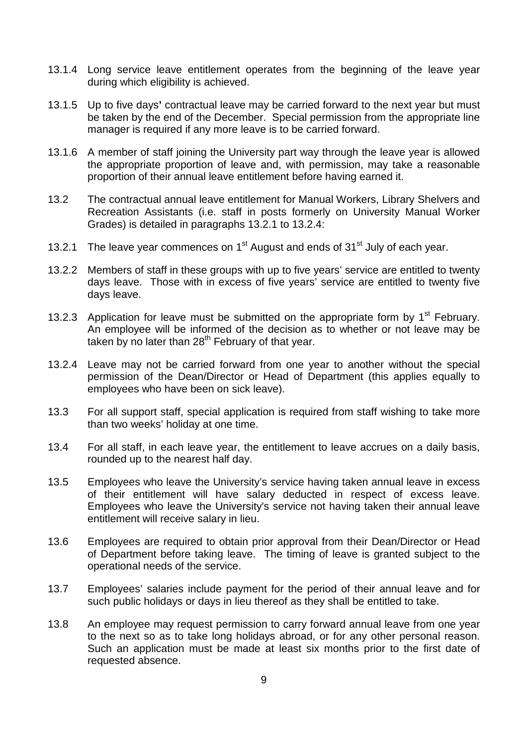- 13.1.4 Long service leave entitlement operates from the beginning of the leave year during which eligibility is achieved.
- 13.1.5 Up to five days**'** contractual leave may be carried forward to the next year but must be taken by the end of the December. Special permission from the appropriate line manager is required if any more leave is to be carried forward.
- 13.1.6 A member of staff joining the University part way through the leave year is allowed the appropriate proportion of leave and, with permission, may take a reasonable proportion of their annual leave entitlement before having earned it.
- 13.2 The contractual annual leave entitlement for Manual Workers, Library Shelvers and Recreation Assistants (i.e. staff in posts formerly on University Manual Worker Grades) is detailed in paragraphs 13.2.1 to 13.2.4:
- 13.2.1 The leave year commences on  $1<sup>st</sup>$  August and ends of  $31<sup>st</sup>$  July of each year.
- 13.2.2 Members of staff in these groups with up to five years' service are entitled to twenty days leave. Those with in excess of five years' service are entitled to twenty five days leave.
- 13.2.3 Application for leave must be submitted on the appropriate form by  $1<sup>st</sup>$  February. An employee will be informed of the decision as to whether or not leave may be taken by no later than  $28<sup>th</sup>$  February of that year.
- 13.2.4 Leave may not be carried forward from one year to another without the special permission of the Dean/Director or Head of Department (this applies equally to employees who have been on sick leave).
- 13.3 For all support staff, special application is required from staff wishing to take more than two weeks' holiday at one time.
- 13.4 For all staff, in each leave year, the entitlement to leave accrues on a daily basis, rounded up to the nearest half day.
- 13.5 Employees who leave the University's service having taken annual leave in excess of their entitlement will have salary deducted in respect of excess leave. Employees who leave the University's service not having taken their annual leave entitlement will receive salary in lieu.
- 13.6 Employees are required to obtain prior approval from their Dean/Director or Head of Department before taking leave. The timing of leave is granted subject to the operational needs of the service.
- 13.7 Employees' salaries include payment for the period of their annual leave and for such public holidays or days in lieu thereof as they shall be entitled to take.
- 13.8 An employee may request permission to carry forward annual leave from one year to the next so as to take long holidays abroad, or for any other personal reason. Such an application must be made at least six months prior to the first date of requested absence.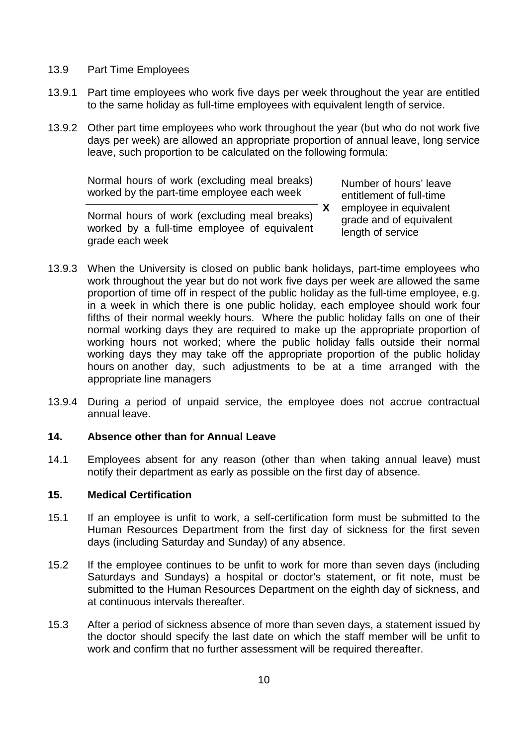- 13.9 Part Time Employees
- 13.9.1 Part time employees who work five days per week throughout the year are entitled to the same holiday as full-time employees with equivalent length of service.
- 13.9.2 Other part time employees who work throughout the year (but who do not work five days per week) are allowed an appropriate proportion of annual leave, long service leave, such proportion to be calculated on the following formula:

Normal hours of work (excluding meal breaks) worked by the part-time employee each week

**X** Number of hours' leave entitlement of full-time employee in equivalent grade and of equivalent length of service

Normal hours of work (excluding meal breaks) worked by a full-time employee of equivalent grade each week

- 13.9.3 When the University is closed on public bank holidays, part-time employees who work throughout the year but do not work five days per week are allowed the same proportion of time off in respect of the public holiday as the full-time employee, e.g. in a week in which there is one public holiday, each employee should work four fifths of their normal weekly hours. Where the public holiday falls on one of their normal working days they are required to make up the appropriate proportion of working hours not worked; where the public holiday falls outside their normal working days they may take off the appropriate proportion of the public holiday hours on another day, such adjustments to be at a time arranged with the appropriate line managers
- 13.9.4 During a period of unpaid service, the employee does not accrue contractual annual leave.

### **14. Absence other than for Annual Leave**

14.1 Employees absent for any reason (other than when taking annual leave) must notify their department as early as possible on the first day of absence.

### **15. Medical Certification**

- 15.1 If an employee is unfit to work, a self-certification form must be submitted to the Human Resources Department from the first day of sickness for the first seven days (including Saturday and Sunday) of any absence.
- 15.2 If the employee continues to be unfit to work for more than seven days (including Saturdays and Sundays) a hospital or doctor's statement, or fit note, must be submitted to the Human Resources Department on the eighth day of sickness, and at continuous intervals thereafter.
- 15.3 After a period of sickness absence of more than seven days, a statement issued by the doctor should specify the last date on which the staff member will be unfit to work and confirm that no further assessment will be required thereafter.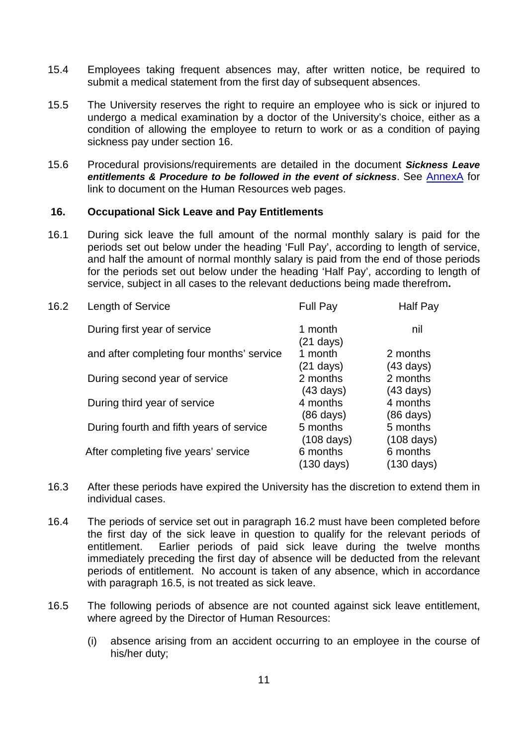- 15.4 Employees taking frequent absences may, after written notice, be required to submit a medical statement from the first day of subsequent absences.
- 15.5 The University reserves the right to require an employee who is sick or injured to undergo a medical examination by a doctor of the University's choice, either as a condition of allowing the employee to return to work or as a condition of paying sickness pay under section 16.
- <span id="page-10-0"></span>15.6 Procedural provisions/requirements are detailed in the document *Sickness Leave entitlements & Procedure to be followed in the event of sickness*. See [AnnexA](#page-36-0) for link to document on the Human Resources web pages.

### **16. Occupational Sick Leave and Pay Entitlements**

16.1 During sick leave the full amount of the normal monthly salary is paid for the periods set out below under the heading 'Full Pay', according to length of service, and half the amount of normal monthly salary is paid from the end of those periods for the periods set out below under the heading 'Half Pay', according to length of service, subject in all cases to the relevant deductions being made therefrom**.**

| 16.2 | Length of Service                         | Full Pay                                              | Half Pay                         |
|------|-------------------------------------------|-------------------------------------------------------|----------------------------------|
|      | During first year of service              | 1 month                                               | nil                              |
|      | and after completing four months' service | $(21 \text{ days})$<br>1 month<br>$(21 \text{ days})$ | 2 months<br>$(43 \text{ days})$  |
|      | During second year of service             | 2 months<br>(43 days)                                 | 2 months<br>$(43 \text{ days})$  |
|      | During third year of service              | 4 months<br>(86 days)                                 | 4 months<br>$(86 \text{ days})$  |
|      | During fourth and fifth years of service  | 5 months<br>$(108 \text{ days})$                      | 5 months<br>$(108 \text{ days})$ |
|      | After completing five years' service      | 6 months<br>(130 days)                                | 6 months<br>$(130 \text{ days})$ |

- 16.3 After these periods have expired the University has the discretion to extend them in individual cases.
- 16.4 The periods of service set out in paragraph 16.2 must have been completed before the first day of the sick leave in question to qualify for the relevant periods of entitlement. Earlier periods of paid sick leave during the twelve months immediately preceding the first day of absence will be deducted from the relevant periods of entitlement. No account is taken of any absence, which in accordance with paragraph 16.5, is not treated as sick leave.
- 16.5 The following periods of absence are not counted against sick leave entitlement, where agreed by the Director of Human Resources:
	- (i) absence arising from an accident occurring to an employee in the course of his/her duty;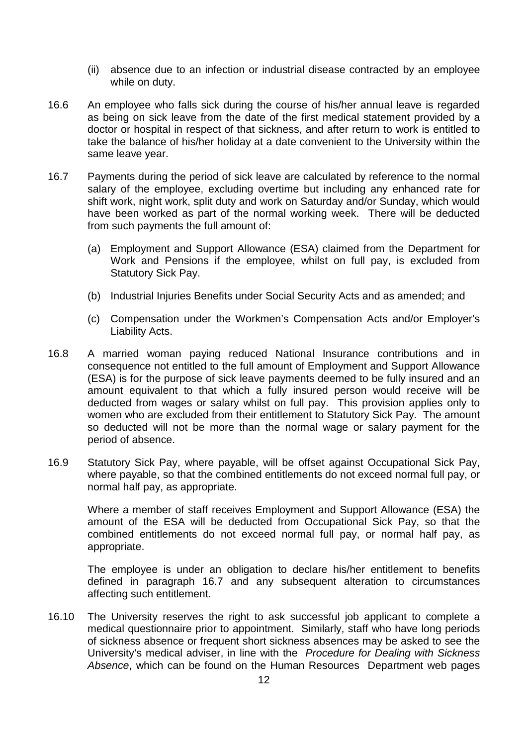- (ii) absence due to an infection or industrial disease contracted by an employee while on duty.
- 16.6 An employee who falls sick during the course of his/her annual leave is regarded as being on sick leave from the date of the first medical statement provided by a doctor or hospital in respect of that sickness, and after return to work is entitled to take the balance of his/her holiday at a date convenient to the University within the same leave year.
- 16.7 Payments during the period of sick leave are calculated by reference to the normal salary of the employee, excluding overtime but including any enhanced rate for shift work, night work, split duty and work on Saturday and/or Sunday, which would have been worked as part of the normal working week. There will be deducted from such payments the full amount of:
	- (a) Employment and Support Allowance (ESA) claimed from the Department for Work and Pensions if the employee, whilst on full pay, is excluded from Statutory Sick Pay.
	- (b) Industrial Injuries Benefits under Social Security Acts and as amended; and
	- (c) Compensation under the Workmen's Compensation Acts and/or Employer's Liability Acts.
- 16.8 A married woman paying reduced National Insurance contributions and in consequence not entitled to the full amount of Employment and Support Allowance (ESA) is for the purpose of sick leave payments deemed to be fully insured and an amount equivalent to that which a fully insured person would receive will be deducted from wages or salary whilst on full pay. This provision applies only to women who are excluded from their entitlement to Statutory Sick Pay. The amount so deducted will not be more than the normal wage or salary payment for the period of absence.
- 16.9 Statutory Sick Pay, where payable, will be offset against Occupational Sick Pay, where payable, so that the combined entitlements do not exceed normal full pay, or normal half pay, as appropriate.

Where a member of staff receives Employment and Support Allowance (ESA) the amount of the ESA will be deducted from Occupational Sick Pay, so that the combined entitlements do not exceed normal full pay, or normal half pay, as appropriate.

The employee is under an obligation to declare his/her entitlement to benefits defined in paragraph 16.7 and any subsequent alteration to circumstances affecting such entitlement.

16.10 The University reserves the right to ask successful job applicant to complete a medical questionnaire prior to appointment. Similarly, staff who have long periods of sickness absence or frequent short sickness absences may be asked to see the University's medical adviser, in line with the *Procedure for Dealing with Sickness Absence*, which can be found on the Human Resources Department web pages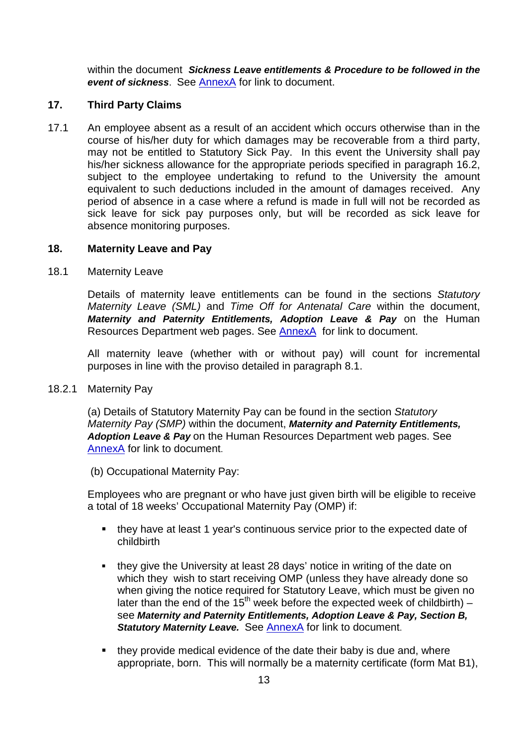within the document *Sickness Leave entitlements & Procedure to be followed in the event of sickness*. See [AnnexA](#page-36-0) for link to document.

### **17. Third Party Claims**

17.1 An employee absent as a result of an accident which occurs otherwise than in the course of his/her duty for which damages may be recoverable from a third party, may not be entitled to Statutory Sick Pay. In this event the University shall pay his/her sickness allowance for the appropriate periods specified in paragraph 16.2, subject to the employee undertaking to refund to the University the amount equivalent to such deductions included in the amount of damages received. Any period of absence in a case where a refund is made in full will not be recorded as sick leave for sick pay purposes only, but will be recorded as sick leave for absence monitoring purposes.

### <span id="page-12-0"></span>**18. Maternity Leave and Pay**

18.1 Maternity Leave

Details of maternity leave entitlements can be found in the sections *Statutory Maternity Leave (SML)* and *Time Off for Antenatal Care* within the document, *Maternity and Paternity Entitlements, Adoption Leave & Pay* on the Human Resources Department web pages. See [AnnexA](#page-36-0) for link to document.

All maternity leave (whether with or without pay) will count for incremental purposes in line with the proviso detailed in paragraph 8.1.

18.2.1 Maternity Pay

(a) Details of Statutory Maternity Pay can be found in the section *Statutory Maternity Pay (SMP)* within the document, *Maternity and Paternity Entitlements, Adoption Leave & Pay* on the Human Resources Department web pages. See [AnnexA](#page-36-0) for link to document.

(b) Occupational Maternity Pay:

Employees who are pregnant or who have just given birth will be eligible to receive a total of 18 weeks' Occupational Maternity Pay (OMP) if:

- they have at least 1 year's continuous service prior to the expected date of childbirth
- they give the University at least 28 days' notice in writing of the date on which they wish to start receiving OMP (unless they have already done so when giving the notice required for Statutory Leave, which must be given no later than the end of the  $15<sup>th</sup>$  week before the expected week of childbirth) – see *Maternity and Paternity Entitlements, Adoption Leave & Pay, Section B,*  **Statutory Maternity Leave.** See [AnnexA](#page-36-0) for link to document.
- they provide medical evidence of the date their baby is due and, where appropriate, born. This will normally be a maternity certificate (form Mat B1),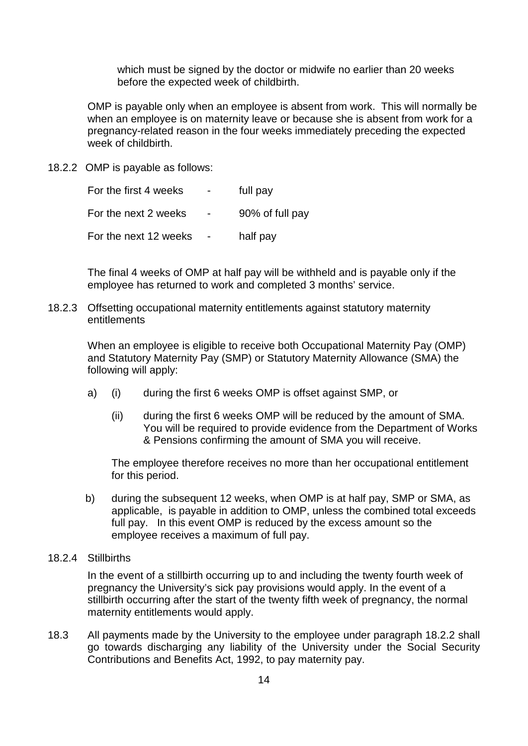which must be signed by the doctor or midwife no earlier than 20 weeks before the expected week of childbirth.

OMP is payable only when an employee is absent from work. This will normally be when an employee is on maternity leave or because she is absent from work for a pregnancy-related reason in the four weeks immediately preceding the expected week of childbirth.

18.2.2 OMP is payable as follows:

For the first 4 weeks - full pay For the next 2 weeks - 90% of full pay For the next 12 weeks - half pay

The final 4 weeks of OMP at half pay will be withheld and is payable only if the employee has returned to work and completed 3 months' service.

18.2.3 Offsetting occupational maternity entitlements against statutory maternity entitlements

When an employee is eligible to receive both Occupational Maternity Pay (OMP) and Statutory Maternity Pay (SMP) or Statutory Maternity Allowance (SMA) the following will apply:

- a) (i) during the first 6 weeks OMP is offset against SMP, or
	- (ii) during the first 6 weeks OMP will be reduced by the amount of SMA. You will be required to provide evidence from the Department of Works & Pensions confirming the amount of SMA you will receive.

The employee therefore receives no more than her occupational entitlement for this period.

- b) during the subsequent 12 weeks, when OMP is at half pay, SMP or SMA, as applicable, is payable in addition to OMP, unless the combined total exceeds full pay. In this event OMP is reduced by the excess amount so the employee receives a maximum of full pay.
- 18.2.4 Stillbirths

In the event of a stillbirth occurring up to and including the twenty fourth week of pregnancy the University's sick pay provisions would apply. In the event of a stillbirth occurring after the start of the twenty fifth week of pregnancy, the normal maternity entitlements would apply.

18.3 All payments made by the University to the employee under paragraph 18.2.2 shall go towards discharging any liability of the University under the Social Security Contributions and Benefits Act, 1992, to pay maternity pay.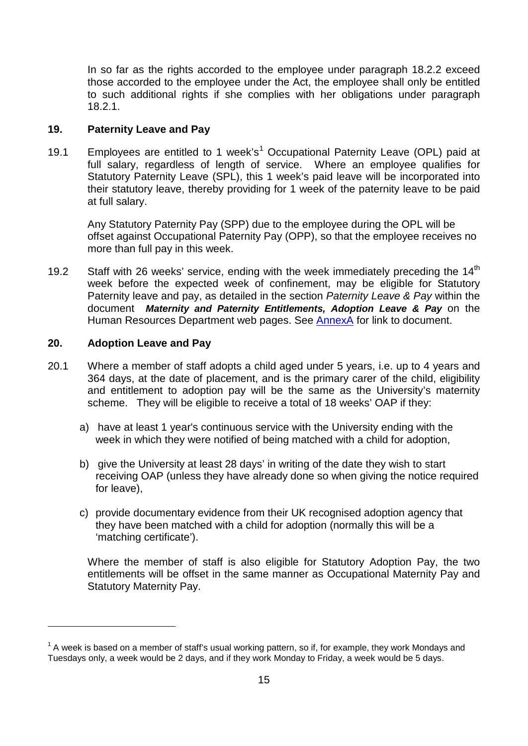In so far as the rights accorded to the employee under paragraph 18.2.2 exceed those accorded to the employee under the Act, the employee shall only be entitled to such additional rights if she complies with her obligations under paragraph 18.2.1.

### <span id="page-14-0"></span>**19. Paternity Leave and Pay**

[1](#page-0-0)9.1 Employees are entitled to 1 week's<sup>1</sup> Occupational Paternity Leave (OPL) paid at full salary, regardless of length of service. Where an employee qualifies for Statutory Paternity Leave (SPL), this 1 week's paid leave will be incorporated into their statutory leave, thereby providing for 1 week of the paternity leave to be paid at full salary.

Any Statutory Paternity Pay (SPP) due to the employee during the OPL will be offset against Occupational Paternity Pay (OPP), so that the employee receives no more than full pay in this week.

19.2 Staff with 26 weeks' service, ending with the week immediately preceding the  $14<sup>th</sup>$ week before the expected week of confinement, may be eligible for Statutory Paternity leave and pay, as detailed in the section *Paternity Leave & Pay* within the document *Maternity and Paternity Entitlements, Adoption Leave & Pay* on the Human Resources Department web pages. See [AnnexA](#page-36-0) for link to document.

### <span id="page-14-1"></span>**20. Adoption Leave and Pay**

 $\overline{a}$ 

- 20.1 Where a member of staff adopts a child aged under 5 years, i.e. up to 4 years and 364 days, at the date of placement, and is the primary carer of the child, eligibility and entitlement to adoption pay will be the same as the University's maternity scheme. They will be eligible to receive a total of 18 weeks' OAP if they:
	- a) have at least 1 year's continuous service with the University ending with the week in which they were notified of being matched with a child for adoption,
	- b) give the University at least 28 days' in writing of the date they wish to start receiving OAP (unless they have already done so when giving the notice required for leave),
	- c) provide documentary evidence from their UK recognised adoption agency that they have been matched with a child for adoption (normally this will be a 'matching certificate').

Where the member of staff is also eligible for Statutory Adoption Pay, the two entitlements will be offset in the same manner as Occupational Maternity Pay and Statutory Maternity Pay.

 $1$  A week is based on a member of staff's usual working pattern, so if, for example, they work Mondays and Tuesdays only, a week would be 2 days, and if they work Monday to Friday, a week would be 5 days.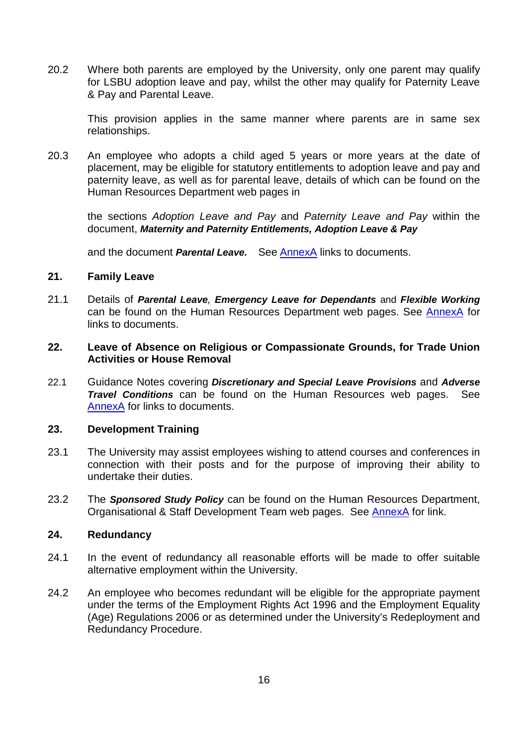20.2 Where both parents are employed by the University, only one parent may qualify for LSBU adoption leave and pay, whilst the other may qualify for Paternity Leave & Pay and Parental Leave.

This provision applies in the same manner where parents are in same sex relationships.

20.3 An employee who adopts a child aged 5 years or more years at the date of placement, may be eligible for statutory entitlements to adoption leave and pay and paternity leave, as well as for parental leave, details of which can be found on the Human Resources Department web pages in

the sections *Adoption Leave and Pay* and *Paternity Leave and Pay* within the document, *Maternity and Paternity Entitlements, Adoption Leave & Pay* 

<span id="page-15-1"></span>and the document *Parental Leave.* See [AnnexA](#page-36-0) links to documents.

#### **21. Family Leave**

21.1 Details of *[Parental Leave](http://www.lsbu.ac.uk/hr/docs/parental-leave.doc), [Emergency Leave for Dependants](http://www.lsbu.ac.uk/hr/docs/emergency-leave-for-dependants.doc)* and *[Flexible Working](http://www.lsbu.ac.uk/hr/docs/flexible-working.doc)* can be found on the Human Resources Department web pages. See [AnnexA](#page-36-0) for links to documents.

### <span id="page-15-0"></span>**22. Leave of Absence on Religious or Compassionate Grounds, for Trade Union Activities or House Removal**

22.1 Guidance Notes covering *[Discretionary and Special Leave Provisions](http://www.lsbu.ac.uk/hr/docs/discretionary-and-special-leave-provisions.doc)* and *[Adverse](http://www.lsbu.ac.uk/hr/docs/adverse-travel-conditions.doc)  [Travel Conditions](http://www.lsbu.ac.uk/hr/docs/adverse-travel-conditions.doc)* can be found on the Human Resources web pages. See [AnnexA](#page-36-0) for links to documents.

### <span id="page-15-3"></span>**23. Development Training**

- 23.1 The University may assist employees wishing to attend courses and conferences in connection with their posts and for the purpose of improving their ability to undertake their duties.
- 23.2 The *[Sponsored Study Policy](http://www.lsbu.ac.uk/osdt/sponsored/index.html)* can be found on the Human Resources Department, Organisational & Staff Development Team web pages. See [AnnexA](#page-36-0) for link.

#### <span id="page-15-2"></span>**24. Redundancy**

- 24.1 In the event of redundancy all reasonable efforts will be made to offer suitable alternative employment within the University.
- 24.2 An employee who becomes redundant will be eligible for the appropriate payment under the terms of the Employment Rights Act 1996 and the Employment Equality (Age) Regulations 2006 or as determined under the University's Redeployment and Redundancy Procedure.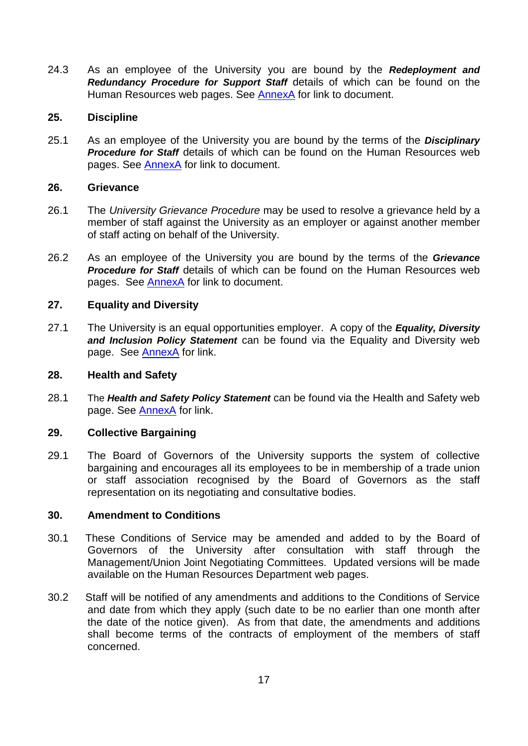24.3 As an employee of the University you are bound by the *[Redeployment and](http://www.lsbu.ac.uk/hr/docs/support-redeployment-redundancy-procedure.doc)  [Redundancy Procedure for Support Staff](http://www.lsbu.ac.uk/hr/docs/support-redeployment-redundancy-procedure.doc)* details of which can be found on the Human Resources web pages. See [AnnexA](#page-36-0) for link to document.

### <span id="page-16-0"></span>**25. Discipline**

25.1 As an employee of the University you are bound by the terms of the *[Disciplinary](http://www.lsbu.ac.uk/hr/docs/disciplinary-procedures-updated-apr-2012.doc)  [Procedure for Staff](http://www.lsbu.ac.uk/hr/docs/disciplinary-procedures-updated-apr-2012.doc)* details of which can be found on the Human Resources web pages. See [AnnexA](#page-36-0) for link to document.

### <span id="page-16-2"></span>**26. Grievance**

- 26.1 The *University Grievance Procedure* may be used to resolve a grievance held by a member of staff against the University as an employer or against another member of staff acting on behalf of the University.
- 26.2 As an employee of the University you are bound by the terms of the *[Grievance](http://www.lsbu.ac.uk/hr/docs/support-grievance-procedures-aptc-staff.doc)*  **[Procedure for](http://www.lsbu.ac.uk/hr/docs/support-grievance-procedures-aptc-staff.doc) Staff** details of which can be found on the Human Resources web pages. See [AnnexA](#page-36-0) for link to document.

### <span id="page-16-1"></span>**27. Equality and Diversity**

27.1 The University is an equal opportunities employer. A copy of the *Equality, [Diversity](http://www.lsbu.ac.uk/diversity/policy/index.htm)  [and Inclusion Policy Statement](http://www.lsbu.ac.uk/diversity/policy/index.htm)* can be found via the Equality and Diversity web page. See [AnnexA](#page-36-0) for link.

#### <span id="page-16-3"></span>**28. Health and Safety**

28.1 The *[Health and Safety Policy Statement](http://www.lsbu.ac.uk/safety/HSpolicies/policies/hspolicy.pdf)* can be found via the Health and Safety web page. See [AnnexA](#page-36-0) for link.

### **29. Collective Bargaining**

29.1 The Board of Governors of the University supports the system of collective bargaining and encourages all its employees to be in membership of a trade union or staff association recognised by the Board of Governors as the staff representation on its negotiating and consultative bodies.

#### **30. Amendment to Conditions**

- 30.1 These Conditions of Service may be amended and added to by the Board of Governors of the University after consultation with staff through the Management/Union Joint Negotiating Committees. Updated versions will be made available on the Human Resources Department web pages.
- 30.2 Staff will be notified of any amendments and additions to the Conditions of Service and date from which they apply (such date to be no earlier than one month after the date of the notice given). As from that date, the amendments and additions shall become terms of the contracts of employment of the members of staff concerned.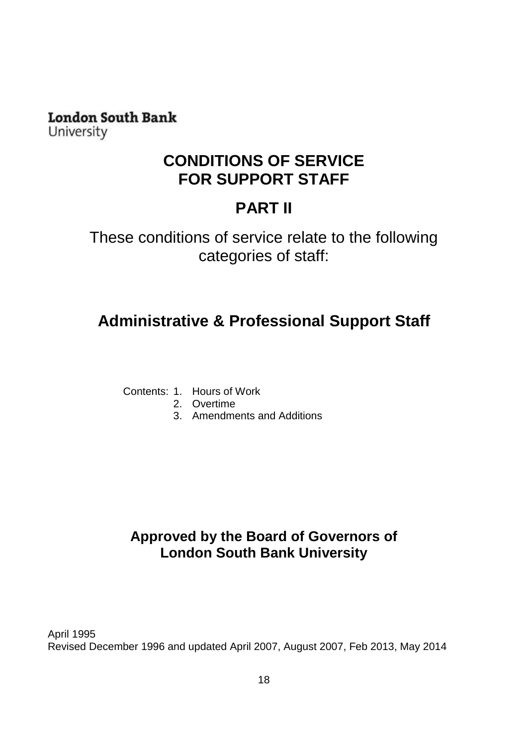**London South Bank** University

### **CONDITIONS OF SERVICE FOR SUPPORT STAFF**

## **PART II**

These conditions of service relate to the following categories of staff:

# <span id="page-17-0"></span>**Administrative & Professional Support Staff**

- Contents: 1. Hours of Work
	- 2. Overtime
	- 3. Amendments and Additions

### **Approved by the Board of Governors of London South Bank University**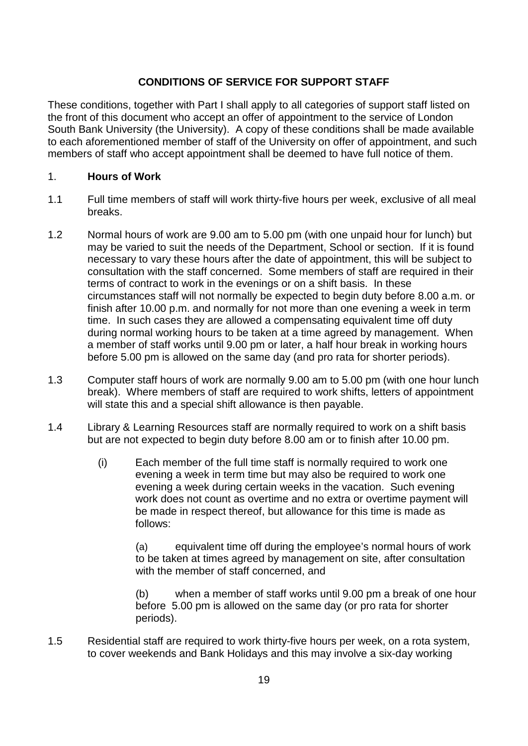### **CONDITIONS OF SERVICE FOR SUPPORT STAFF**

These conditions, together with Part I shall apply to all categories of support staff listed on the front of this document who accept an offer of appointment to the service of London South Bank University (the University). A copy of these conditions shall be made available to each aforementioned member of staff of the University on offer of appointment, and such members of staff who accept appointment shall be deemed to have full notice of them.

### 1. **Hours of Work**

- 1.1 Full time members of staff will work thirty-five hours per week, exclusive of all meal breaks.
- 1.2 Normal hours of work are 9.00 am to 5.00 pm (with one unpaid hour for lunch) but may be varied to suit the needs of the Department, School or section. If it is found necessary to vary these hours after the date of appointment, this will be subject to consultation with the staff concerned. Some members of staff are required in their terms of contract to work in the evenings or on a shift basis. In these circumstances staff will not normally be expected to begin duty before 8.00 a.m. or finish after 10.00 p.m. and normally for not more than one evening a week in term time. In such cases they are allowed a compensating equivalent time off duty during normal working hours to be taken at a time agreed by management. When a member of staff works until 9.00 pm or later, a half hour break in working hours before 5.00 pm is allowed on the same day (and pro rata for shorter periods).
- 1.3 Computer staff hours of work are normally 9.00 am to 5.00 pm (with one hour lunch break). Where members of staff are required to work shifts, letters of appointment will state this and a special shift allowance is then payable.
- 1.4 Library & Learning Resources staff are normally required to work on a shift basis but are not expected to begin duty before 8.00 am or to finish after 10.00 pm.
	- (i) Each member of the full time staff is normally required to work one evening a week in term time but may also be required to work one evening a week during certain weeks in the vacation. Such evening work does not count as overtime and no extra or overtime payment will be made in respect thereof, but allowance for this time is made as follows:

(a) equivalent time off during the employee's normal hours of work to be taken at times agreed by management on site, after consultation with the member of staff concerned, and

(b) when a member of staff works until 9.00 pm a break of one hour before 5.00 pm is allowed on the same day (or pro rata for shorter periods).

1.5 Residential staff are required to work thirty-five hours per week, on a rota system, to cover weekends and Bank Holidays and this may involve a six-day working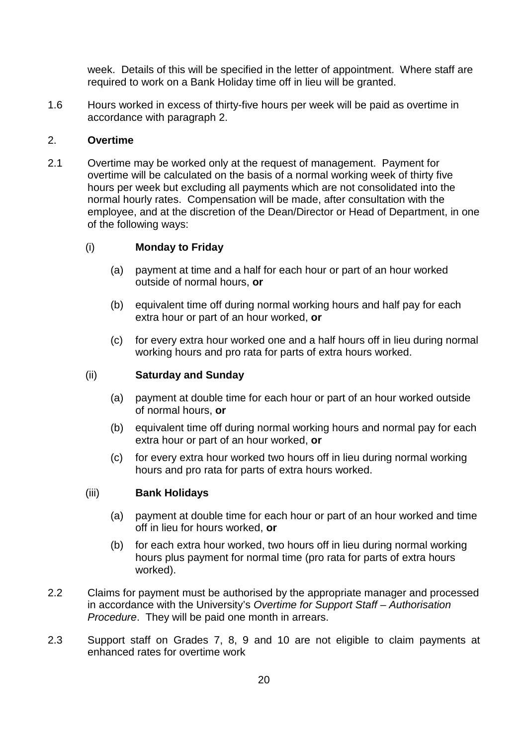week. Details of this will be specified in the letter of appointment. Where staff are required to work on a Bank Holiday time off in lieu will be granted.

1.6 Hours worked in excess of thirty-five hours per week will be paid as overtime in accordance with paragraph 2.

### 2. **Overtime**

2.1 Overtime may be worked only at the request of management. Payment for overtime will be calculated on the basis of a normal working week of thirty five hours per week but excluding all payments which are not consolidated into the normal hourly rates. Compensation will be made, after consultation with the employee, and at the discretion of the Dean/Director or Head of Department, in one of the following ways:

### (i) **Monday to Friday**

- (a) payment at time and a half for each hour or part of an hour worked outside of normal hours, **or**
- (b) equivalent time off during normal working hours and half pay for each extra hour or part of an hour worked, **or**
- (c) for every extra hour worked one and a half hours off in lieu during normal working hours and pro rata for parts of extra hours worked.

#### (ii) **Saturday and Sunday**

- (a) payment at double time for each hour or part of an hour worked outside of normal hours, **or**
- (b) equivalent time off during normal working hours and normal pay for each extra hour or part of an hour worked, **or**
- (c) for every extra hour worked two hours off in lieu during normal working hours and pro rata for parts of extra hours worked.

#### (iii) **Bank Holidays**

- (a) payment at double time for each hour or part of an hour worked and time off in lieu for hours worked, **or**
- (b) for each extra hour worked, two hours off in lieu during normal working hours plus payment for normal time (pro rata for parts of extra hours worked).
- 2.2 Claims for payment must be authorised by the appropriate manager and processed in accordance with the University's *Overtime for Support Staff – Authorisation Procedure*. They will be paid one month in arrears.
- 2.3 Support staff on Grades 7, 8, 9 and 10 are not eligible to claim payments at enhanced rates for overtime work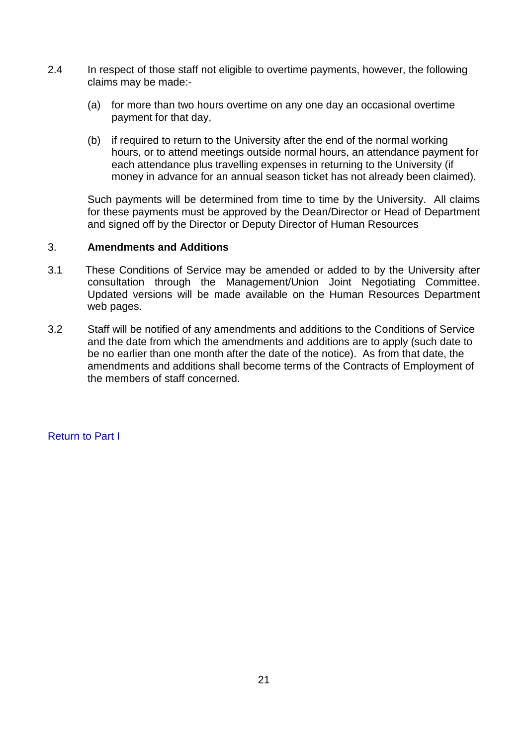- 2.4 In respect of those staff not eligible to overtime payments, however, the following claims may be made:-
	- (a) for more than two hours overtime on any one day an occasional overtime payment for that day,
	- (b) if required to return to the University after the end of the normal working hours, or to attend meetings outside normal hours, an attendance payment for each attendance plus travelling expenses in returning to the University (if money in advance for an annual season ticket has not already been claimed).

Such payments will be determined from time to time by the University. All claims for these payments must be approved by the Dean/Director or Head of Department and signed off by the Director or Deputy Director of Human Resources

### 3. **Amendments and Additions**

- 3.1 These Conditions of Service may be amended or added to by the University after consultation through the Management/Union Joint Negotiating Committee. Updated versions will be made available on the Human Resources Department web pages.
- 3.2 Staff will be notified of any amendments and additions to the Conditions of Service and the date from which the amendments and additions are to apply (such date to be no earlier than one month after the date of the notice). As from that date, the amendments and additions shall become terms of the Contracts of Employment of the members of staff concerned.

[Return to Part I](#page-1-0)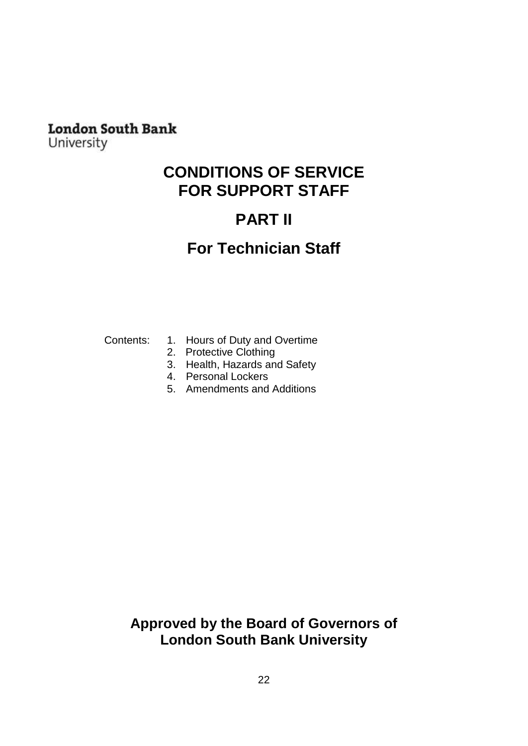### **London South Bank**

<span id="page-21-0"></span>University

### **CONDITIONS OF SERVICE FOR SUPPORT STAFF**

# **PART II**

## **For Technician Staff**

- Contents: 1. Hours of Duty and Overtime
	- 2. Protective Clothing
	- 3. Health, Hazards and Safety
	- 4. Personal Lockers
	- 5. Amendments and Additions

### **Approved by the Board of Governors of London South Bank University**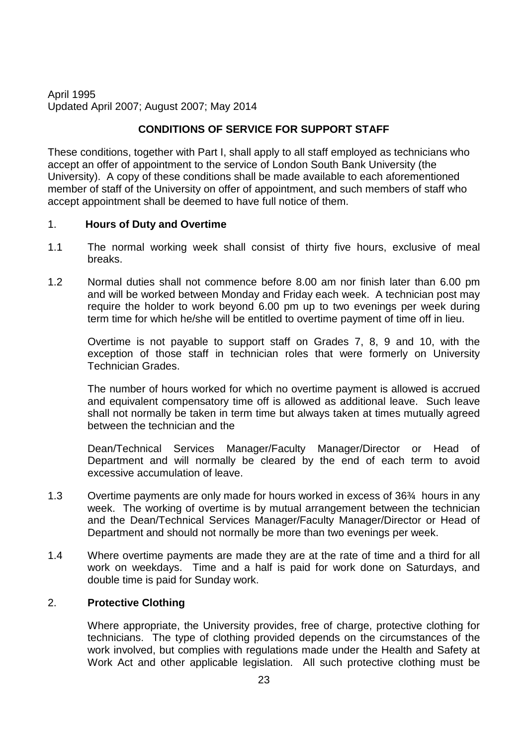### April 1995 Updated April 2007; August 2007; May 2014

### **CONDITIONS OF SERVICE FOR SUPPORT STAFF**

These conditions, together with Part I, shall apply to all staff employed as technicians who accept an offer of appointment to the service of London South Bank University (the University). A copy of these conditions shall be made available to each aforementioned member of staff of the University on offer of appointment, and such members of staff who accept appointment shall be deemed to have full notice of them.

### 1. **Hours of Duty and Overtime**

- 1.1 The normal working week shall consist of thirty five hours, exclusive of meal breaks.
- 1.2 Normal duties shall not commence before 8.00 am nor finish later than 6.00 pm and will be worked between Monday and Friday each week. A technician post may require the holder to work beyond 6.00 pm up to two evenings per week during term time for which he/she will be entitled to overtime payment of time off in lieu.

Overtime is not payable to support staff on Grades 7, 8, 9 and 10, with the exception of those staff in technician roles that were formerly on University Technician Grades.

The number of hours worked for which no overtime payment is allowed is accrued and equivalent compensatory time off is allowed as additional leave. Such leave shall not normally be taken in term time but always taken at times mutually agreed between the technician and the

Dean/Technical Services Manager/Faculty Manager/Director or Head of Department and will normally be cleared by the end of each term to avoid excessive accumulation of leave.

- 1.3 Overtime payments are only made for hours worked in excess of 36¾ hours in any week. The working of overtime is by mutual arrangement between the technician and the Dean/Technical Services Manager/Faculty Manager/Director or Head of Department and should not normally be more than two evenings per week.
- 1.4 Where overtime payments are made they are at the rate of time and a third for all work on weekdays. Time and a half is paid for work done on Saturdays, and double time is paid for Sunday work.

### 2. **Protective Clothing**

Where appropriate, the University provides, free of charge, protective clothing for technicians. The type of clothing provided depends on the circumstances of the work involved, but complies with regulations made under the Health and Safety at Work Act and other applicable legislation. All such protective clothing must be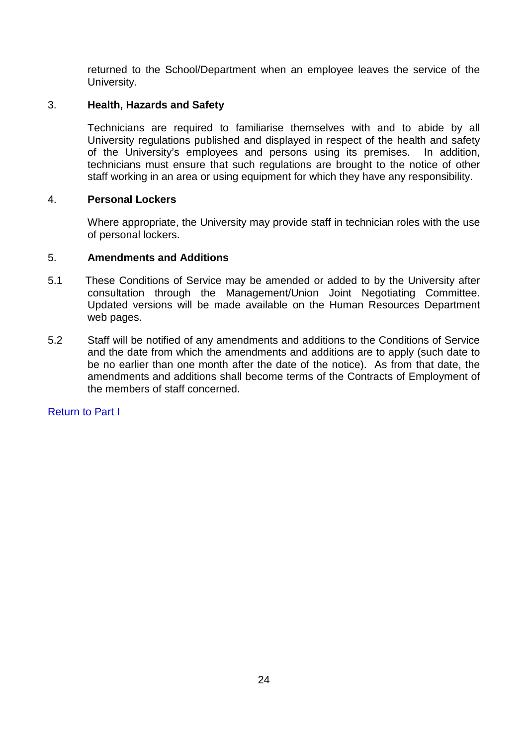returned to the School/Department when an employee leaves the service of the University.

### 3. **Health, Hazards and Safety**

Technicians are required to familiarise themselves with and to abide by all University regulations published and displayed in respect of the health and safety of the University's employees and persons using its premises. In addition, technicians must ensure that such regulations are brought to the notice of other staff working in an area or using equipment for which they have any responsibility.

### 4. **Personal Lockers**

Where appropriate, the University may provide staff in technician roles with the use of personal lockers.

### 5. **Amendments and Additions**

- 5.1 These Conditions of Service may be amended or added to by the University after consultation through the Management/Union Joint Negotiating Committee. Updated versions will be made available on the Human Resources Department web pages.
- 5.2 Staff will be notified of any amendments and additions to the Conditions of Service and the date from which the amendments and additions are to apply (such date to be no earlier than one month after the date of the notice). As from that date, the amendments and additions shall become terms of the Contracts of Employment of the members of staff concerned.

### [Return to Part I](#page-1-0)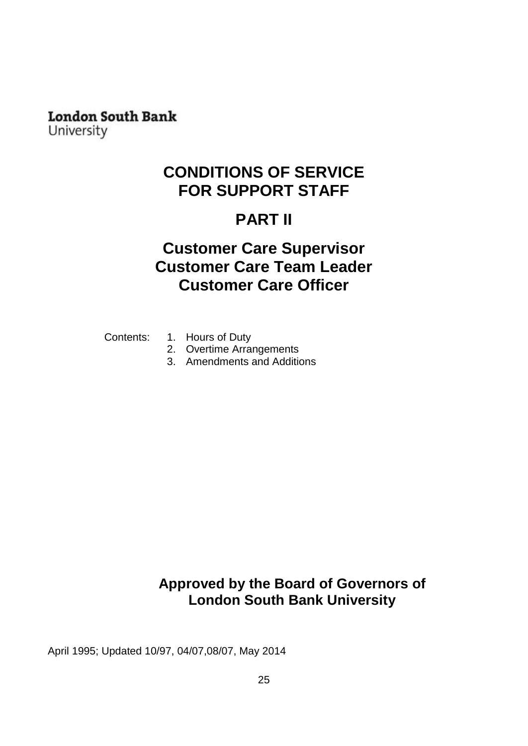# **London South Bank**

University

## **CONDITIONS OF SERVICE FOR SUPPORT STAFF**

# **PART II**

## <span id="page-24-0"></span>**Customer Care Supervisor Customer Care Team Leader Customer Care Officer**

- Contents: 1. Hours of Duty
	- 2. Overtime Arrangements
	- 3. Amendments and Additions

### **Approved by the Board of Governors of London South Bank University**

April 1995; Updated 10/97, 04/07,08/07, May 2014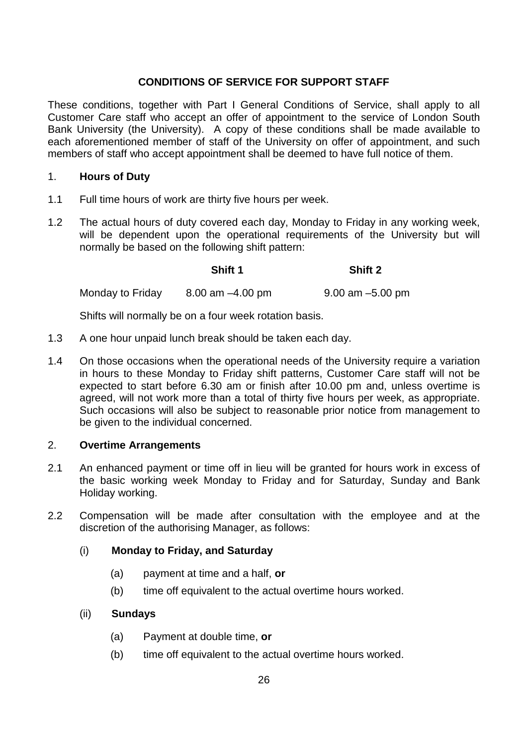### **CONDITIONS OF SERVICE FOR SUPPORT STAFF**

These conditions, together with Part I General Conditions of Service, shall apply to all Customer Care staff who accept an offer of appointment to the service of London South Bank University (the University). A copy of these conditions shall be made available to each aforementioned member of staff of the University on offer of appointment, and such members of staff who accept appointment shall be deemed to have full notice of them.

### 1. **Hours of Duty**

- 1.1 Full time hours of work are thirty five hours per week.
- 1.2 The actual hours of duty covered each day, Monday to Friday in any working week, will be dependent upon the operational requirements of the University but will normally be based on the following shift pattern:

**Shift 1 Shift 2**

Monday to Friday  $8.00 \text{ am } -4.00 \text{ pm}$  9.00 am  $-5.00 \text{ pm}$ 

Shifts will normally be on a four week rotation basis.

- 1.3 A one hour unpaid lunch break should be taken each day.
- 1.4 On those occasions when the operational needs of the University require a variation in hours to these Monday to Friday shift patterns, Customer Care staff will not be expected to start before 6.30 am or finish after 10.00 pm and, unless overtime is agreed, will not work more than a total of thirty five hours per week, as appropriate. Such occasions will also be subject to reasonable prior notice from management to be given to the individual concerned.

### 2. **Overtime Arrangements**

- 2.1 An enhanced payment or time off in lieu will be granted for hours work in excess of the basic working week Monday to Friday and for Saturday, Sunday and Bank Holiday working.
- 2.2 Compensation will be made after consultation with the employee and at the discretion of the authorising Manager, as follows:

### (i) **Monday to Friday, and Saturday**

- (a) payment at time and a half, **or**
- (b) time off equivalent to the actual overtime hours worked.

#### (ii) **Sundays**

- (a) Payment at double time, **or**
- (b) time off equivalent to the actual overtime hours worked.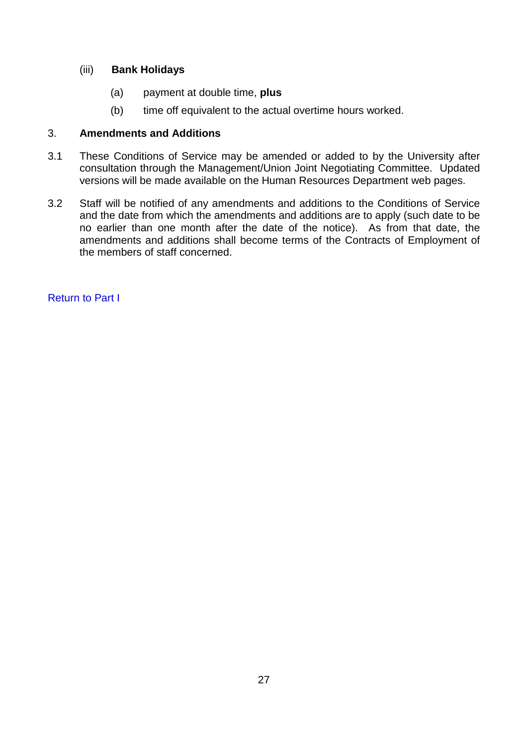### (iii) **Bank Holidays**

- (a) payment at double time, **plus**
- (b) time off equivalent to the actual overtime hours worked.

### 3. **Amendments and Additions**

- 3.1 These Conditions of Service may be amended or added to by the University after consultation through the Management/Union Joint Negotiating Committee. Updated versions will be made available on the Human Resources Department web pages.
- 3.2 Staff will be notified of any amendments and additions to the Conditions of Service and the date from which the amendments and additions are to apply (such date to be no earlier than one month after the date of the notice). As from that date, the amendments and additions shall become terms of the Contracts of Employment of the members of staff concerned.

[Return to Part I](#page-1-0)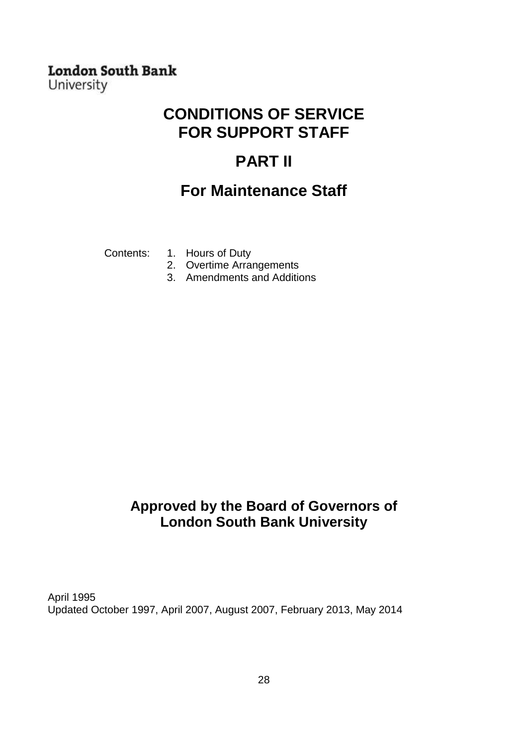### **London South Bank** University

## **CONDITIONS OF SERVICE FOR SUPPORT STAFF**

## **PART II**

### **For Maintenance Staff**

<span id="page-27-0"></span>

- Contents: 1. Hours of Duty
	- 2. Overtime Arrangements
		- 3. Amendments and Additions

### **Approved by the Board of Governors of London South Bank University**

April 1995 Updated October 1997, April 2007, August 2007, February 2013, May 2014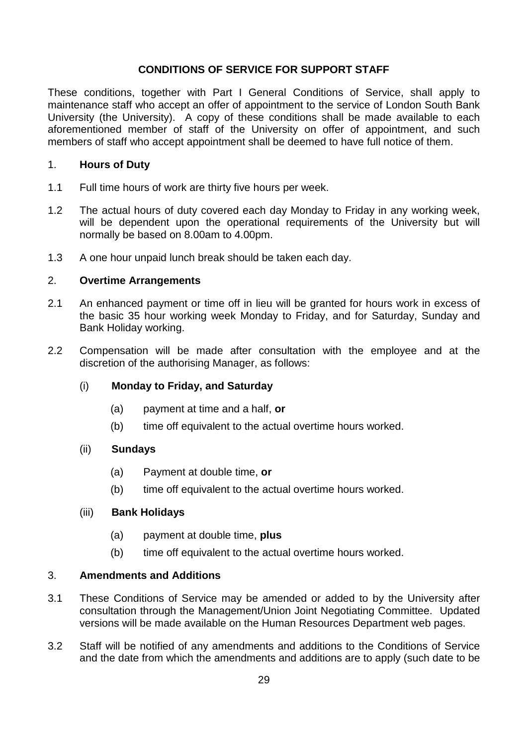### **CONDITIONS OF SERVICE FOR SUPPORT STAFF**

These conditions, together with Part I General Conditions of Service, shall apply to maintenance staff who accept an offer of appointment to the service of London South Bank University (the University). A copy of these conditions shall be made available to each aforementioned member of staff of the University on offer of appointment, and such members of staff who accept appointment shall be deemed to have full notice of them.

### 1. **Hours of Duty**

- 1.1 Full time hours of work are thirty five hours per week.
- 1.2 The actual hours of duty covered each day Monday to Friday in any working week, will be dependent upon the operational requirements of the University but will normally be based on 8.00am to 4.00pm.
- 1.3 A one hour unpaid lunch break should be taken each day.

### 2. **Overtime Arrangements**

- 2.1 An enhanced payment or time off in lieu will be granted for hours work in excess of the basic 35 hour working week Monday to Friday, and for Saturday, Sunday and Bank Holiday working.
- 2.2 Compensation will be made after consultation with the employee and at the discretion of the authorising Manager, as follows:
	- (i) **Monday to Friday, and Saturday**
		- (a) payment at time and a half, **or**
		- (b) time off equivalent to the actual overtime hours worked.

### (ii) **Sundays**

- (a) Payment at double time, **or**
- (b) time off equivalent to the actual overtime hours worked.

#### (iii) **Bank Holidays**

- (a) payment at double time, **plus**
- (b) time off equivalent to the actual overtime hours worked.

#### 3. **Amendments and Additions**

- 3.1 These Conditions of Service may be amended or added to by the University after consultation through the Management/Union Joint Negotiating Committee. Updated versions will be made available on the Human Resources Department web pages.
- 3.2 Staff will be notified of any amendments and additions to the Conditions of Service and the date from which the amendments and additions are to apply (such date to be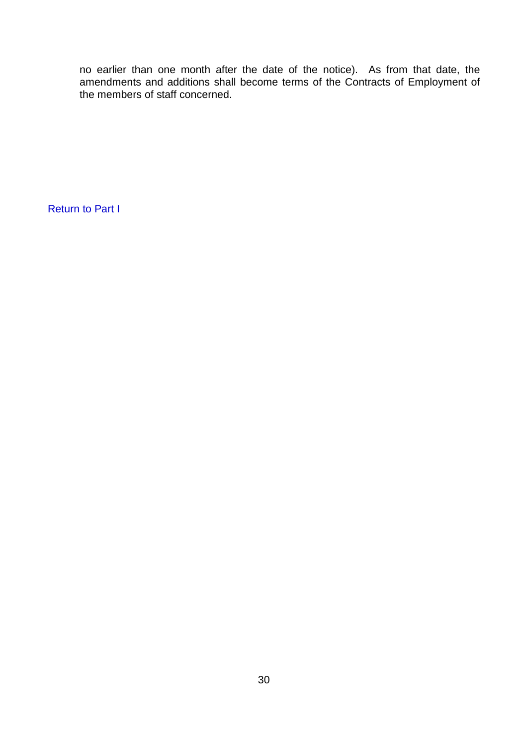no earlier than one month after the date of the notice). As from that date, the amendments and additions shall become terms of the Contracts of Employment of the members of staff concerned.

[Return to Part I](#page-1-0)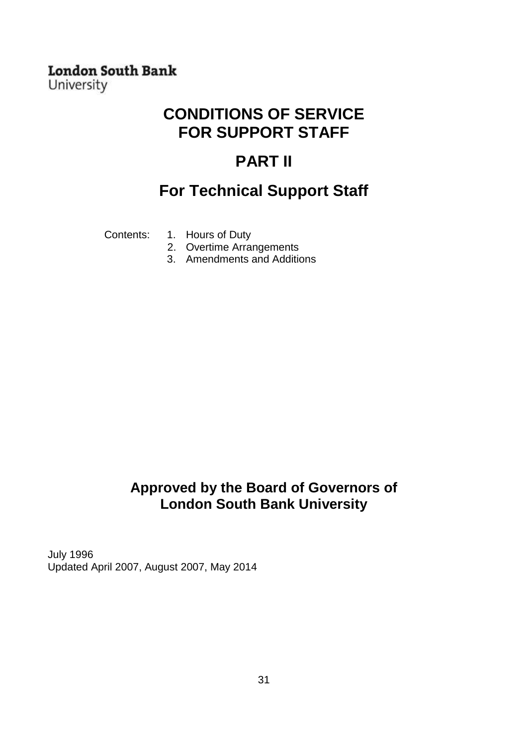### **London South Bank** University

## **CONDITIONS OF SERVICE FOR SUPPORT STAFF**

## **PART II**

## **For Technical Support Staff**

<span id="page-30-0"></span>

- Contents: 1. Hours of Duty
	- 2. Overtime Arrangements
	- 3. Amendments and Additions

### **Approved by the Board of Governors of London South Bank University**

July 1996 Updated April 2007, August 2007, May 2014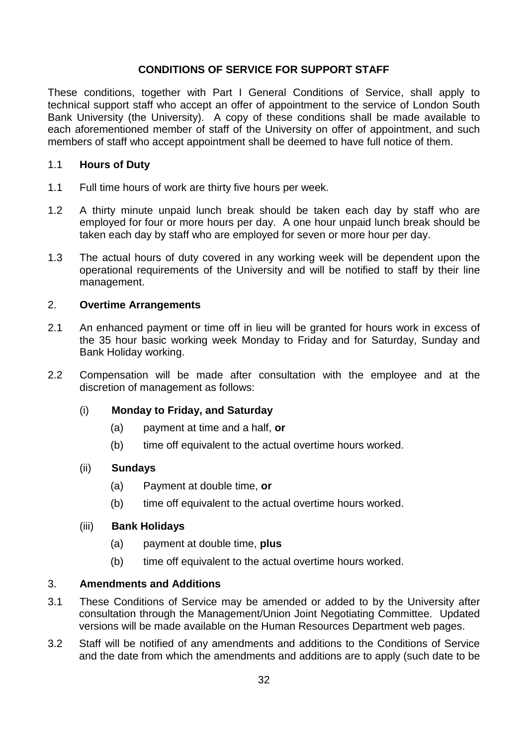### **CONDITIONS OF SERVICE FOR SUPPORT STAFF**

These conditions, together with Part I General Conditions of Service, shall apply to technical support staff who accept an offer of appointment to the service of London South Bank University (the University). A copy of these conditions shall be made available to each aforementioned member of staff of the University on offer of appointment, and such members of staff who accept appointment shall be deemed to have full notice of them.

### 1.1 **Hours of Duty**

- 1.1 Full time hours of work are thirty five hours per week.
- 1.2 A thirty minute unpaid lunch break should be taken each day by staff who are employed for four or more hours per day. A one hour unpaid lunch break should be taken each day by staff who are employed for seven or more hour per day.
- 1.3 The actual hours of duty covered in any working week will be dependent upon the operational requirements of the University and will be notified to staff by their line management.

### 2. **Overtime Arrangements**

- 2.1 An enhanced payment or time off in lieu will be granted for hours work in excess of the 35 hour basic working week Monday to Friday and for Saturday, Sunday and Bank Holiday working.
- 2.2 Compensation will be made after consultation with the employee and at the discretion of management as follows:

#### (i) **Monday to Friday, and Saturday**

- (a) payment at time and a half, **or**
- (b) time off equivalent to the actual overtime hours worked.

#### (ii) **Sundays**

- (a) Payment at double time, **or**
- (b) time off equivalent to the actual overtime hours worked.

#### (iii) **Bank Holidays**

- (a) payment at double time, **plus**
- (b) time off equivalent to the actual overtime hours worked.

#### 3. **Amendments and Additions**

- 3.1 These Conditions of Service may be amended or added to by the University after consultation through the Management/Union Joint Negotiating Committee. Updated versions will be made available on the Human Resources Department web pages.
- 3.2 Staff will be notified of any amendments and additions to the Conditions of Service and the date from which the amendments and additions are to apply (such date to be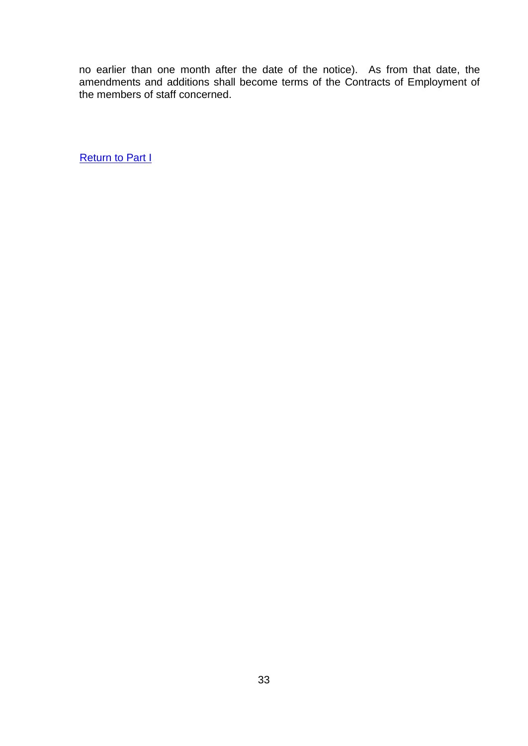no earlier than one month after the date of the notice). As from that date, the amendments and additions shall become terms of the Contracts of Employment of the members of staff concerned.

**[Return to Part I](#page-1-0)**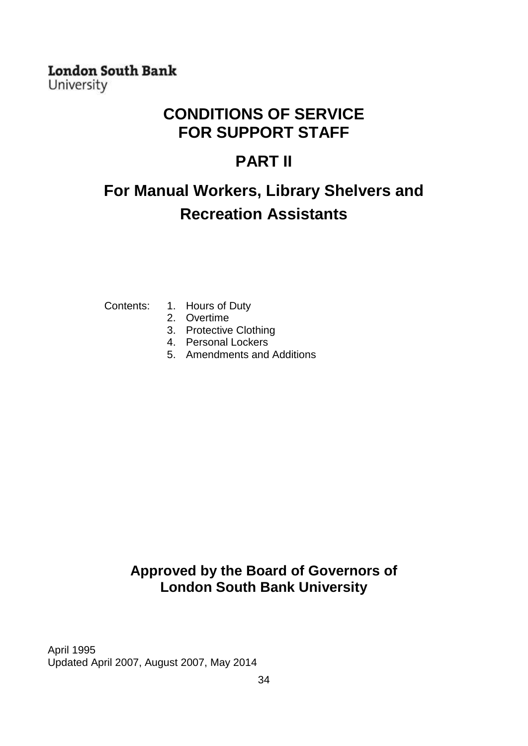### **London South Bank** University

## **CONDITIONS OF SERVICE FOR SUPPORT STAFF**

## **PART II**

# <span id="page-33-0"></span>**For Manual Workers, Library Shelvers and Recreation Assistants**

- Contents: 1. Hours of Duty
	- 2. Overtime
	- 3. Protective Clothing
	- 4. Personal Lockers
	- 5. Amendments and Additions

### **Approved by the Board of Governors of London South Bank University**

April 1995 Updated April 2007, August 2007, May 2014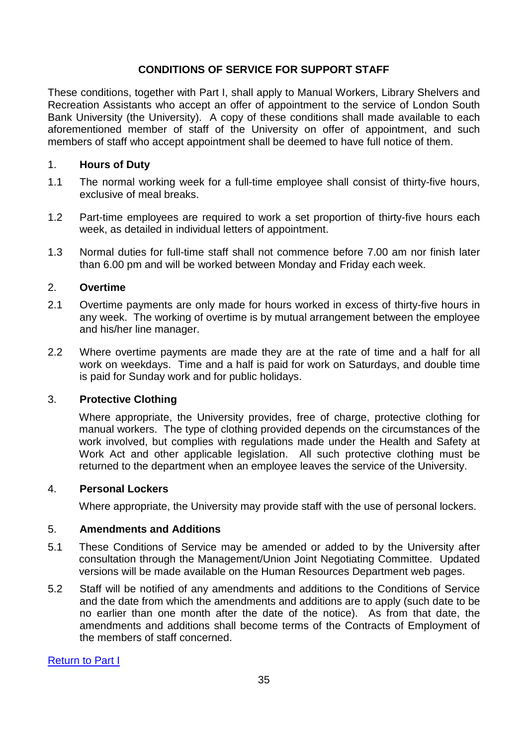### **CONDITIONS OF SERVICE FOR SUPPORT STAFF**

These conditions, together with Part I, shall apply to Manual Workers, Library Shelvers and Recreation Assistants who accept an offer of appointment to the service of London South Bank University (the University). A copy of these conditions shall made available to each aforementioned member of staff of the University on offer of appointment, and such members of staff who accept appointment shall be deemed to have full notice of them.

### 1. **Hours of Duty**

- 1.1 The normal working week for a full-time employee shall consist of thirty-five hours, exclusive of meal breaks.
- 1.2 Part-time employees are required to work a set proportion of thirty-five hours each week, as detailed in individual letters of appointment.
- 1.3 Normal duties for full-time staff shall not commence before 7.00 am nor finish later than 6.00 pm and will be worked between Monday and Friday each week.

### 2. **Overtime**

- 2.1 Overtime payments are only made for hours worked in excess of thirty-five hours in any week. The working of overtime is by mutual arrangement between the employee and his/her line manager.
- 2.2 Where overtime payments are made they are at the rate of time and a half for all work on weekdays. Time and a half is paid for work on Saturdays, and double time is paid for Sunday work and for public holidays.

### 3. **Protective Clothing**

Where appropriate, the University provides, free of charge, protective clothing for manual workers. The type of clothing provided depends on the circumstances of the work involved, but complies with regulations made under the Health and Safety at Work Act and other applicable legislation. All such protective clothing must be returned to the department when an employee leaves the service of the University.

#### 4. **Personal Lockers**

Where appropriate, the University may provide staff with the use of personal lockers.

#### 5. **Amendments and Additions**

- 5.1 These Conditions of Service may be amended or added to by the University after consultation through the Management/Union Joint Negotiating Committee. Updated versions will be made available on the Human Resources Department web pages.
- 5.2 Staff will be notified of any amendments and additions to the Conditions of Service and the date from which the amendments and additions are to apply (such date to be no earlier than one month after the date of the notice). As from that date, the amendments and additions shall become terms of the Contracts of Employment of the members of staff concerned.

[Return to Part I](#page-1-0)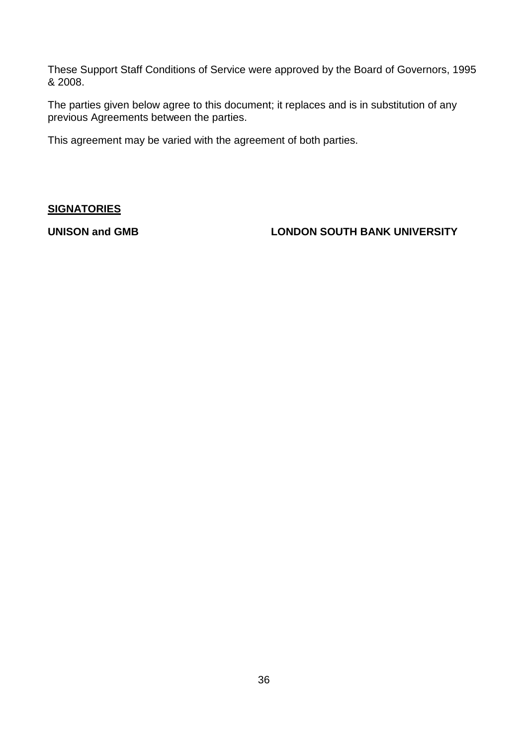These Support Staff Conditions of Service were approved by the Board of Governors, 1995 & 2008.

The parties given below agree to this document; it replaces and is in substitution of any previous Agreements between the parties.

This agreement may be varied with the agreement of both parties.

### **SIGNATORIES**

**UNISON and GMB LONDON SOUTH BANK UNIVERSITY**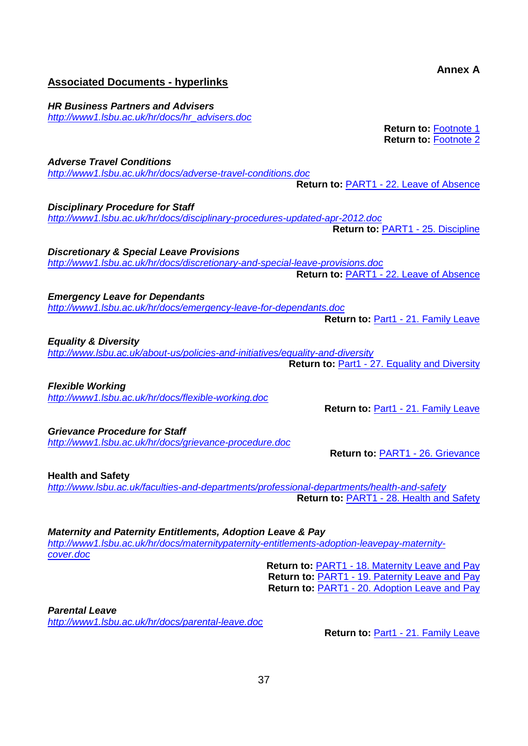### <span id="page-36-0"></span>**Associated Documents - hyperlinks**

*Adverse Travel Conditions*

*HR Business Partners and Advisers [http://www1.lsbu.ac.uk/hr/docs/hr\\_advisers.doc](http://www1.lsbu.ac.uk/hr/docs/hr_advisers.doc)*

> **Return to:** Footnote 1 **Return to:** Footnote 2

**Annex A**

*<http://www1.lsbu.ac.uk/hr/docs/adverse-travel-conditions.doc>* **Return to:** PART1 - [22. Leave of Absence](#page-15-0)

**Return to:** PART1 - [25. Discipline](#page-16-0)

**Return to:** Part1 - [21. Family Leave](#page-15-1)

*Disciplinary Procedure for Staff <http://www1.lsbu.ac.uk/hr/docs/disciplinary-procedures-updated-apr-2012.doc>*

*Discretionary & Special Leave Provisions <http://www1.lsbu.ac.uk/hr/docs/discretionary-and-special-leave-provisions.doc>*

**Return to:** PART1 - [22. Leave of Absence](#page-15-0)

*Emergency Leave for Dependants <http://www1.lsbu.ac.uk/hr/docs/emergency-leave-for-dependants.doc>*

*Equality & Diversity <http://www.lsbu.ac.uk/about-us/policies-and-initiatives/equality-and-diversity>*

**Return to: Part1 - [27. Equality and Diversity](#page-16-1)** 

*Flexible Working <http://www1.lsbu.ac.uk/hr/docs/flexible-working.doc>*

*Grievance Procedure for Staff <http://www1.lsbu.ac.uk/hr/docs/grievance-procedure.doc>*

**Health and Safety** *<http://www.lsbu.ac.uk/faculties-and-departments/professional-departments/health-and-safety>* **Return to:** PART1 - [28. Health and Safety](#page-16-3)

*Maternity and Paternity Entitlements, Adoption Leave & Pay [http://www1.lsbu.ac.uk/hr/docs/maternitypaternity-entitlements-adoption-leavepay-maternity](http://www1.lsbu.ac.uk/hr/docs/maternitypaternity-entitlements-adoption-leavepay-maternity-cover.doc)[cover.doc](http://www1.lsbu.ac.uk/hr/docs/maternitypaternity-entitlements-adoption-leavepay-maternity-cover.doc)*

> **Return to:** PART1 - [18. Maternity Leave and Pay](#page-12-0) **Return to:** PART1 - [19. Paternity Leave and Pay](#page-14-0) **Return to:** PART1 - [20. Adoption Leave and Pay](#page-14-1)

*Parental Leave <http://www1.lsbu.ac.uk/hr/docs/parental-leave.doc>*

**Return to: Part1 - 21. [Family Leave](#page-15-1)** 

Return to: Part1 - [21. Family Leave](#page-15-1)

**Return to:** PART1 - [26. Grievance](#page-16-2)